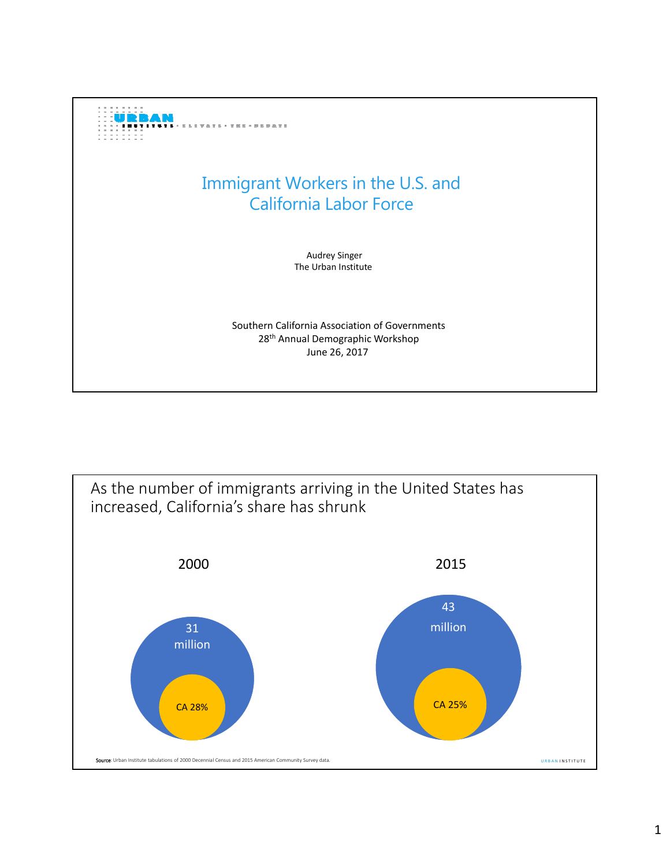

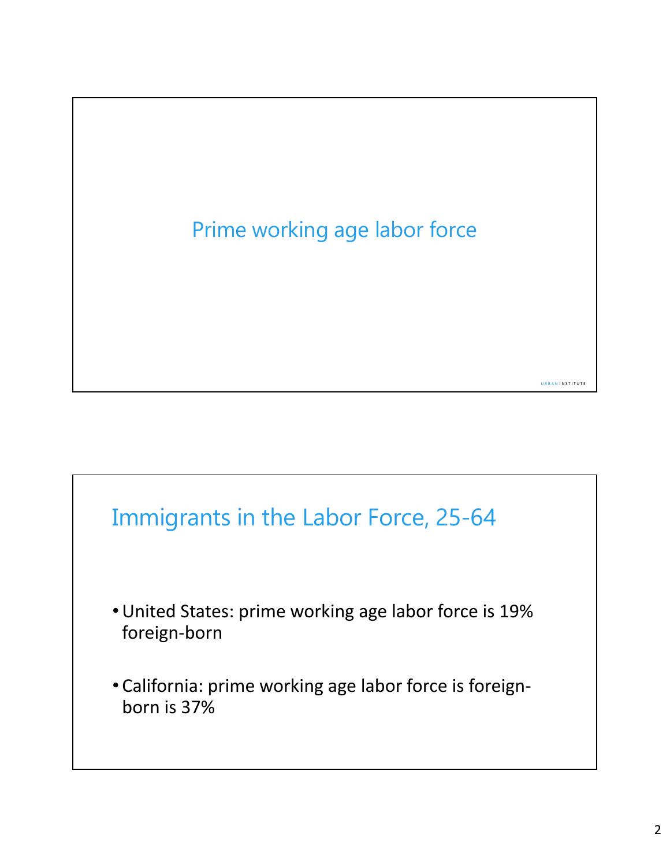

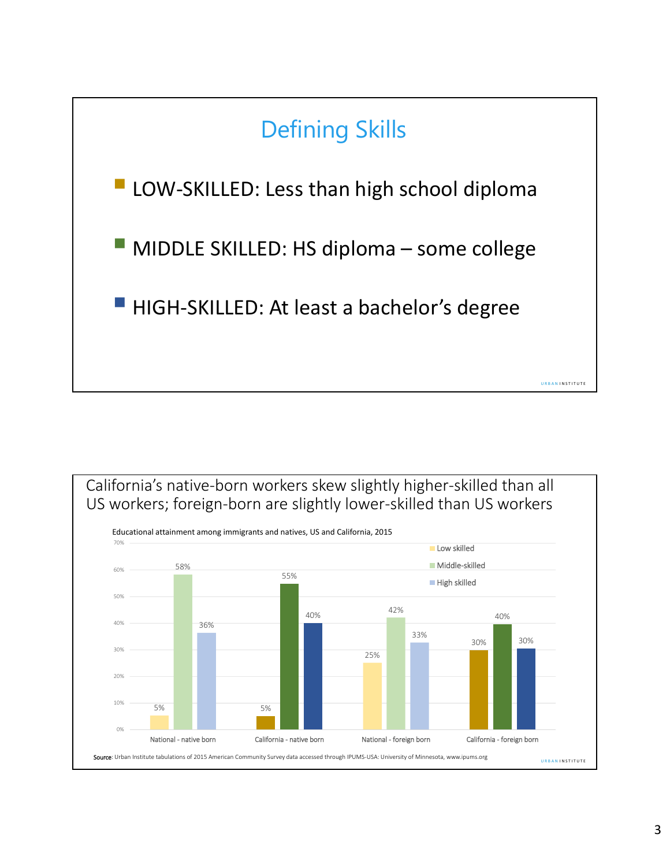

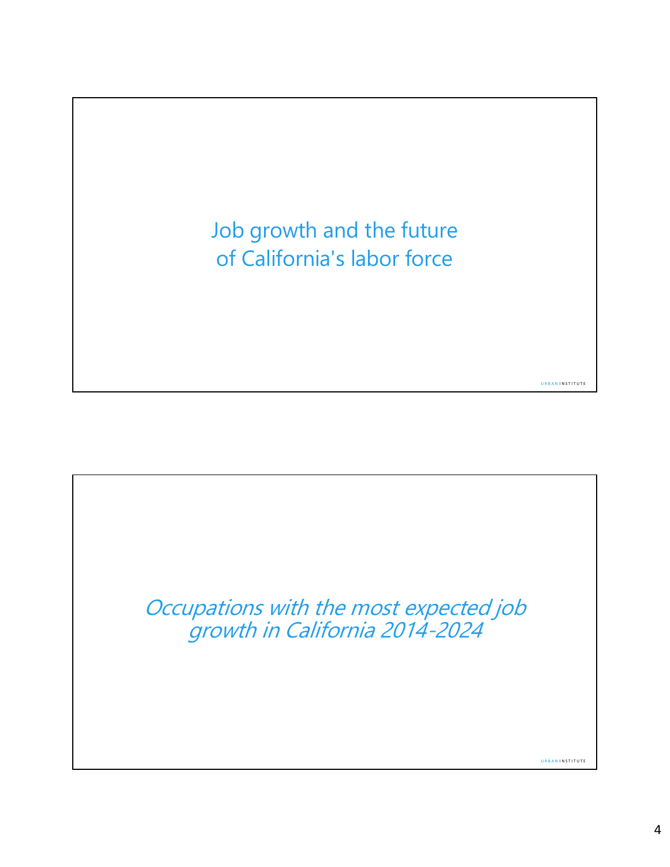Job growth and the future of California's labor force



U R B A N I N S T I T U T E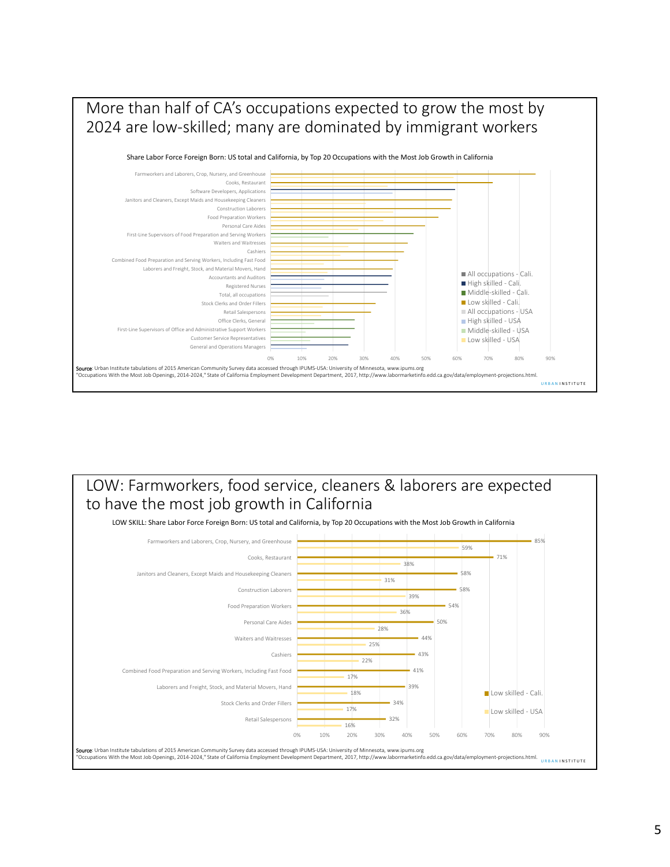

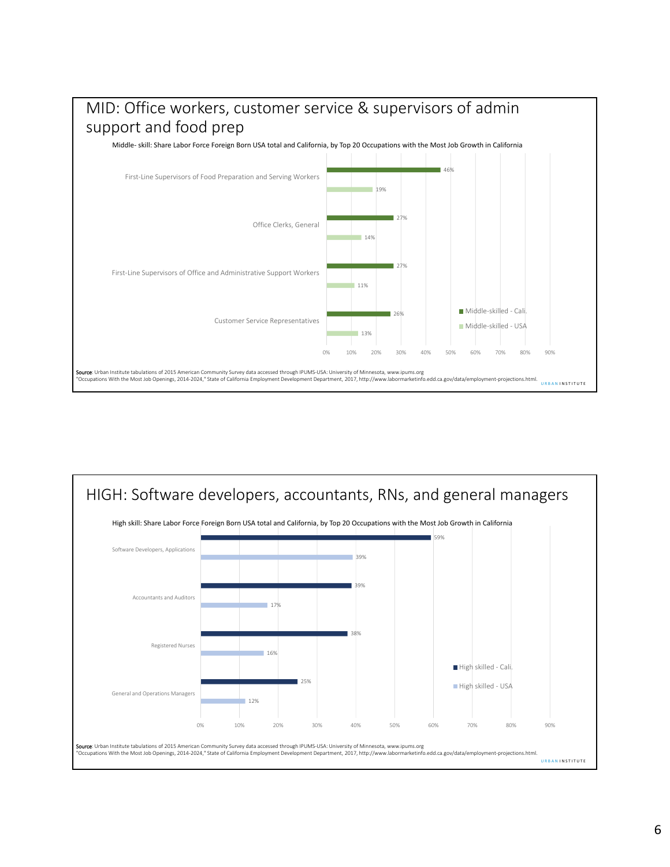

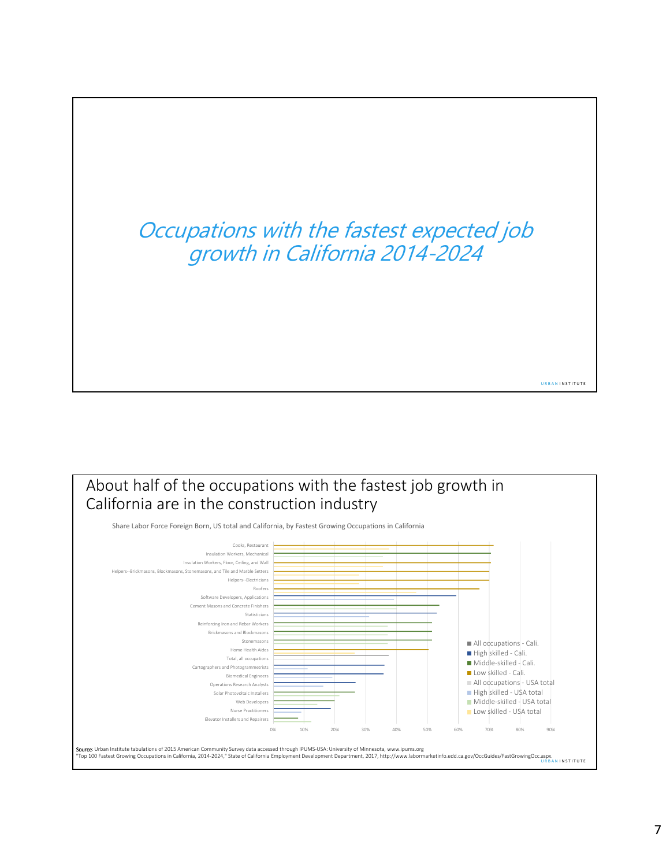## Occupations with the fastest expected job growth in California 2014-2024



U R B A N I N S T I T U T E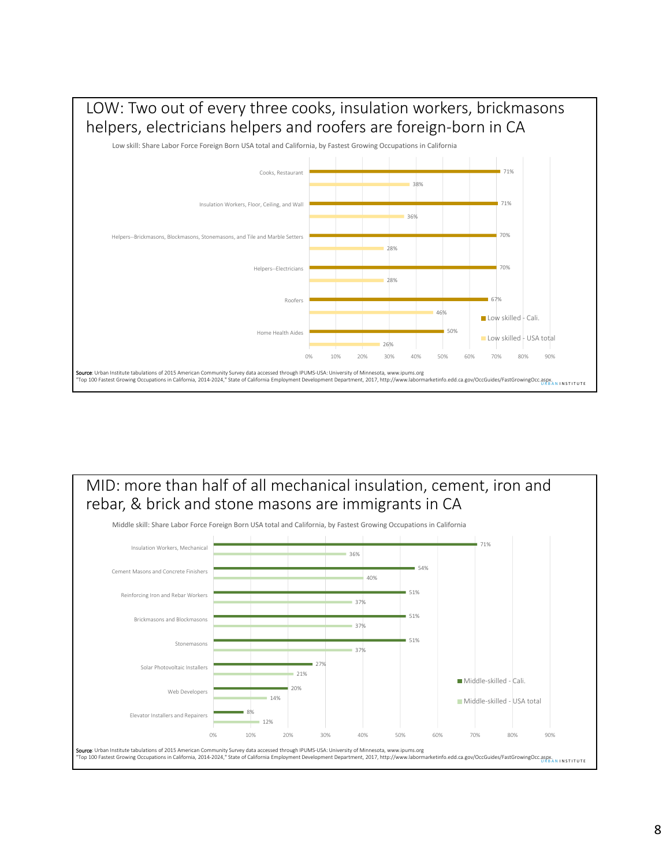